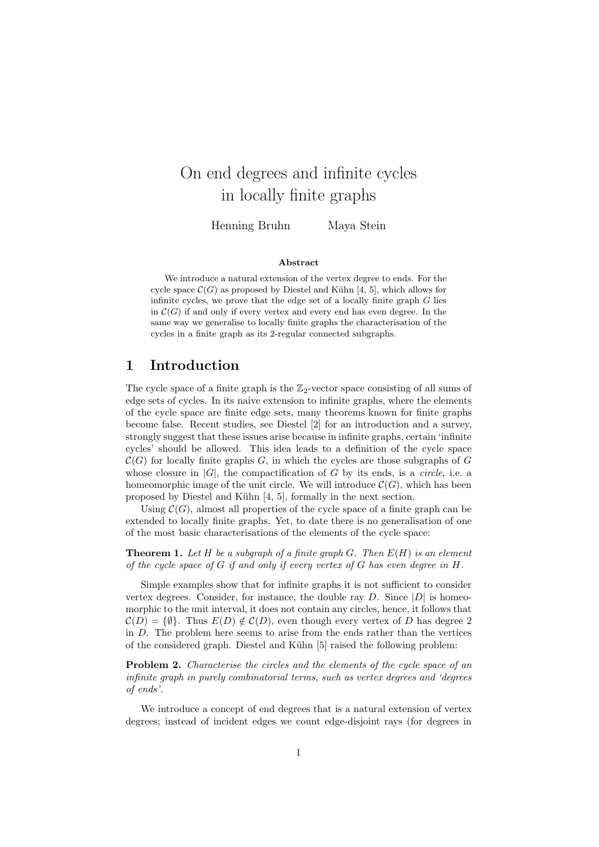# On end degrees and infinite cycles in locally finite graphs

Henning Bruhn Maya Stein

#### Abstract

We introduce a natural extension of the vertex degree to ends. For the cycle space  $\mathcal{C}(G)$  as proposed by Diestel and Kühn [4, 5], which allows for infinite cycles, we prove that the edge set of a locally finite graph  $G$  lies in  $\mathcal{C}(G)$  if and only if every vertex and every end has even degree. In the same way we generalise to locally finite graphs the characterisation of the cycles in a finite graph as its 2-regular connected subgraphs.

#### 1 Introduction

The cycle space of a finite graph is the  $\mathbb{Z}_2$ -vector space consisting of all sums of edge sets of cycles. In its naive extension to infinite graphs, where the elements of the cycle space are finite edge sets, many theorems known for finite graphs become false. Recent studies, see Diestel [2] for an introduction and a survey, strongly suggest that these issues arise because in infinite graphs, certain 'infinite cycles' should be allowed. This idea leads to a definition of the cycle space  $\mathcal{C}(G)$  for locally finite graphs G, in which the cycles are those subgraphs of G whose closure in  $|G|$ , the compactification of G by its ends, is a *circle*, i.e. a homeomorphic image of the unit circle. We will introduce  $\mathcal{C}(G)$ , which has been proposed by Diestel and Kühn [4, 5], formally in the next section.

Using  $\mathcal{C}(G)$ , almost all properties of the cycle space of a finite graph can be extended to locally finite graphs. Yet, to date there is no generalisation of one of the most basic characterisations of the elements of the cycle space:

**Theorem 1.** Let H be a subgraph of a finite graph G. Then  $E(H)$  is an element of the cycle space of  $G$  if and only if every vertex of  $G$  has even degree in  $H$ .

Simple examples show that for infinite graphs it is not sufficient to consider vertex degrees. Consider, for instance, the double ray D. Since  $|D|$  is homeomorphic to the unit interval, it does not contain any circles, hence, it follows that  $\mathcal{C}(D) = \{\emptyset\}.$  Thus  $E(D) \notin \mathcal{C}(D)$ , even though every vertex of D has degree 2 in D. The problem here seems to arise from the ends rather than the vertices of the considered graph. Diestel and Kühn [5] raised the following problem:

**Problem 2.** Characterise the circles and the elements of the cycle space of an infinite graph in purely combinatorial terms, such as vertex degrees and 'degrees of ends'.

We introduce a concept of end degrees that is a natural extension of vertex degrees; instead of incident edges we count edge-disjoint rays (for degrees in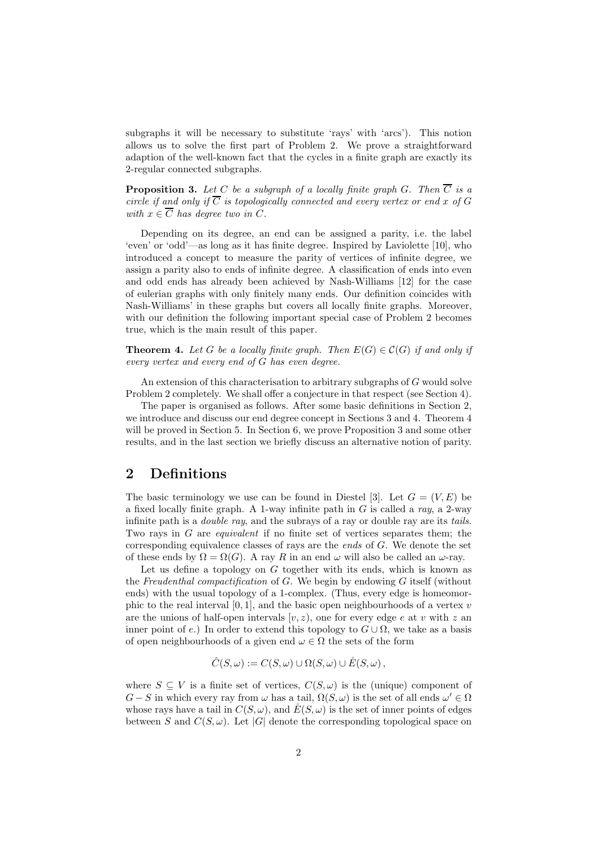subgraphs it will be necessary to substitute 'rays' with 'arcs'). This notion allows us to solve the first part of Problem 2. We prove a straightforward adaption of the well-known fact that the cycles in a finite graph are exactly its 2-regular connected subgraphs.

**Proposition 3.** Let C be a subgraph of a locally finite graph G. Then  $\overline{C}$  is a circle if and only if  $\overline{C}$  is topologically connected and every vertex or end x of G with  $x \in \overline{C}$  has degree two in C.

Depending on its degree, an end can be assigned a parity, i.e. the label 'even' or 'odd'—as long as it has finite degree. Inspired by Laviolette [10], who introduced a concept to measure the parity of vertices of infinite degree, we assign a parity also to ends of infinite degree. A classification of ends into even and odd ends has already been achieved by Nash-Williams [12] for the case of eulerian graphs with only finitely many ends. Our definition coincides with Nash-Williams' in these graphs but covers all locally finite graphs. Moreover, with our definition the following important special case of Problem 2 becomes true, which is the main result of this paper.

**Theorem 4.** Let G be a locally finite graph. Then  $E(G) \in C(G)$  if and only if every vertex and every end of G has even degree.

An extension of this characterisation to arbitrary subgraphs of G would solve Problem 2 completely. We shall offer a conjecture in that respect (see Section 4).

The paper is organised as follows. After some basic definitions in Section 2, we introduce and discuss our end degree concept in Sections 3 and 4. Theorem 4 will be proved in Section 5. In Section 6, we prove Proposition 3 and some other results, and in the last section we briefly discuss an alternative notion of parity.

# 2 Definitions

The basic terminology we use can be found in Diestel [3]. Let  $G = (V, E)$  be a fixed locally finite graph. A 1-way infinite path in  $G$  is called a ray, a 2-way infinite path is a double ray, and the subrays of a ray or double ray are its tails. Two rays in G are equivalent if no finite set of vertices separates them; the corresponding equivalence classes of rays are the *ends* of  $G$ . We denote the set of these ends by  $\Omega = \Omega(G)$ . A ray R in an end  $\omega$  will also be called an  $\omega$ -ray.

Let us define a topology on  $G$  together with its ends, which is known as the Freudenthal compactification of  $G$ . We begin by endowing  $G$  itself (without ends) with the usual topology of a 1-complex. (Thus, every edge is homeomorphic to the real interval  $[0, 1]$ , and the basic open neighbourhoods of a vertex v are the unions of half-open intervals  $[v, z)$ , one for every edge e at v with z an inner point of e.) In order to extend this topology to  $G\cup\Omega$ , we take as a basis of open neighbourhoods of a given end  $\omega \in \Omega$  the sets of the form

$$
\hat{C}(S,\omega) := C(S,\omega) \cup \Omega(S,\omega) \cup \mathring{E}(S,\omega),
$$

where  $S \subseteq V$  is a finite set of vertices,  $C(S, \omega)$  is the (unique) component of  $G-S$  in which every ray from  $\omega$  has a tail,  $\Omega(S,\omega)$  is the set of all ends  $\omega' \in \Omega$ whose rays have a tail in  $C(S, \omega)$ , and  $\mathring{E}(S, \omega)$  is the set of inner points of edges between S and  $C(S, \omega)$ . Let |G| denote the corresponding topological space on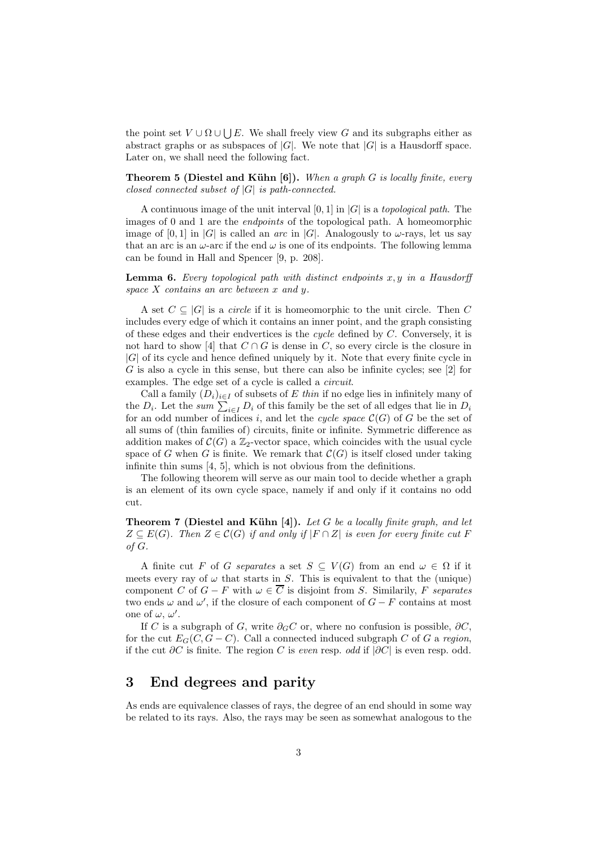the point set  $V \cup \Omega \cup \bigcup E$ . We shall freely view G and its subgraphs either as abstract graphs or as subspaces of  $|G|$ . We note that  $|G|$  is a Hausdorff space. Later on, we shall need the following fact.

**Theorem 5 (Diestel and Kühn [6]).** When a graph G is locally finite, every closed connected subset of  $|G|$  is path-connected.

A continuous image of the unit interval  $[0, 1]$  in  $|G|$  is a topological path. The images of 0 and 1 are the endpoints of the topological path. A homeomorphic image of  $[0,1]$  in  $|G|$  is called an *arc* in  $|G|$ . Analogously to  $\omega$ -rays, let us say that an arc is an  $\omega$ -arc if the end  $\omega$  is one of its endpoints. The following lemma can be found in Hall and Spencer [9, p. 208].

**Lemma 6.** Every topological path with distinct endpoints  $x, y$  in a Hausdorff space  $X$  contains an arc between  $x$  and  $y$ .

A set  $C \subseteq |G|$  is a *circle* if it is homeomorphic to the unit circle. Then C includes every edge of which it contains an inner point, and the graph consisting of these edges and their endvertices is the cycle defined by C. Conversely, it is not hard to show [4] that  $C \cap G$  is dense in C, so every circle is the closure in  $|G|$  of its cycle and hence defined uniquely by it. Note that every finite cycle in G is also a cycle in this sense, but there can also be infinite cycles; see [2] for examples. The edge set of a cycle is called a *circuit*.

Call a family  $(D_i)_{i\in I}$  of subsets of E thin if no edge lies in infinitely many of the  $D_i$ . Let the sum  $\sum_{i\in I} D_i$  of this family be the set of all edges that lie in  $D_i$ for an odd number of indices i, and let the cycle space  $\mathcal{C}(G)$  of G be the set of all sums of (thin families of) circuits, finite or infinite. Symmetric difference as addition makes of  $\mathcal{C}(G)$  a  $\mathbb{Z}_2$ -vector space, which coincides with the usual cycle space of G when G is finite. We remark that  $\mathcal{C}(G)$  is itself closed under taking infinite thin sums [4, 5], which is not obvious from the definitions.

The following theorem will serve as our main tool to decide whether a graph is an element of its own cycle space, namely if and only if it contains no odd cut.

**Theorem 7 (Diestel and Kühn [4]).** Let G be a locally finite graph, and let  $Z \subseteq E(G)$ . Then  $Z \in \mathcal{C}(G)$  if and only if  $|F \cap Z|$  is even for every finite cut F of G.

A finite cut F of G separates a set  $S \subseteq V(G)$  from an end  $\omega \in \Omega$  if it meets every ray of  $\omega$  that starts in S. This is equivalent to that the (unique) component C of  $G - F$  with  $\omega \in \overline{C}$  is disjoint from S. Similarily, F separates two ends  $\omega$  and  $\omega'$ , if the closure of each component of  $G - F$  contains at most one of  $\omega, \omega'$ .

If C is a subgraph of G, write  $\partial_G C$  or, where no confusion is possible,  $\partial C$ , for the cut  $E_G(C, G - C)$ . Call a connected induced subgraph C of G a region, if the cut  $\partial C$  is finite. The region C is *even* resp. odd if  $|\partial C|$  is even resp. odd.

# 3 End degrees and parity

As ends are equivalence classes of rays, the degree of an end should in some way be related to its rays. Also, the rays may be seen as somewhat analogous to the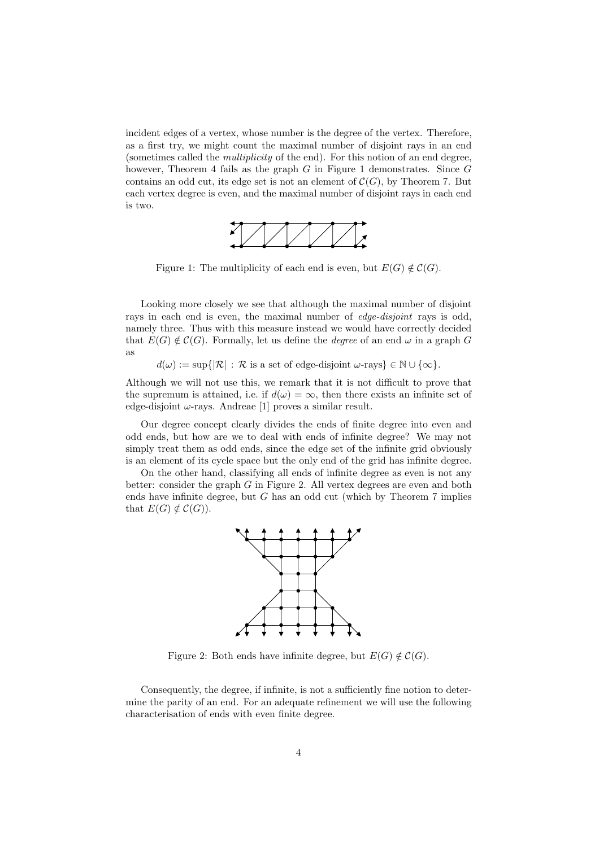incident edges of a vertex, whose number is the degree of the vertex. Therefore, as a first try, we might count the maximal number of disjoint rays in an end (sometimes called the multiplicity of the end). For this notion of an end degree, however, Theorem 4 fails as the graph  $G$  in Figure 1 demonstrates. Since  $G$ contains an odd cut, its edge set is not an element of  $\mathcal{C}(G)$ , by Theorem 7. But each vertex degree is even, and the maximal number of disjoint rays in each end is two.



Figure 1: The multiplicity of each end is even, but  $E(G) \notin C(G)$ .

Looking more closely we see that although the maximal number of disjoint rays in each end is even, the maximal number of *edge-disjoint* rays is odd, namely three. Thus with this measure instead we would have correctly decided that  $E(G) \notin C(G)$ . Formally, let us define the *degree* of an end  $\omega$  in a graph G as

 $d(\omega) := \sup\{|\mathcal{R}| : \mathcal{R} \text{ is a set of edge-disjoint } \omega\text{-rays}\}\in \mathbb{N}\cup \{\infty\}.$ 

Although we will not use this, we remark that it is not difficult to prove that the supremum is attained, i.e. if  $d(\omega) = \infty$ , then there exists an infinite set of edge-disjoint  $\omega$ -rays. Andreae [1] proves a similar result.

Our degree concept clearly divides the ends of finite degree into even and odd ends, but how are we to deal with ends of infinite degree? We may not simply treat them as odd ends, since the edge set of the infinite grid obviously is an element of its cycle space but the only end of the grid has infinite degree.

On the other hand, classifying all ends of infinite degree as even is not any better: consider the graph  $G$  in Figure 2. All vertex degrees are even and both ends have infinite degree, but  $G$  has an odd cut (which by Theorem  $7$  implies that  $E(G) \notin \mathcal{C}(G)$ .



Figure 2: Both ends have infinite degree, but  $E(G) \notin C(G)$ .

Consequently, the degree, if infinite, is not a sufficiently fine notion to determine the parity of an end. For an adequate refinement we will use the following characterisation of ends with even finite degree.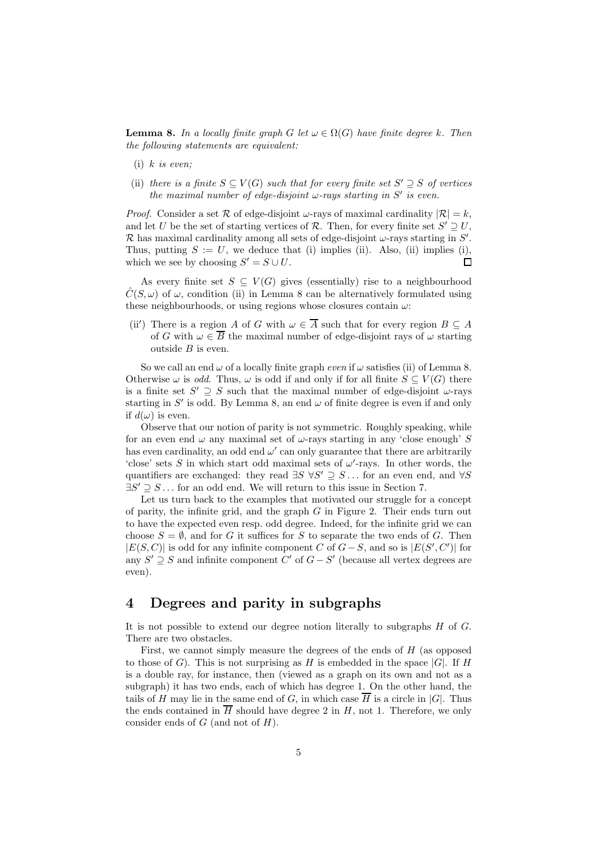**Lemma 8.** In a locally finite graph G let  $\omega \in \Omega(G)$  have finite degree k. Then the following statements are equivalent:

- (i)  $k$  is even:
- (ii) there is a finite  $S \subseteq V(G)$  such that for every finite set  $S' \supseteq S$  of vertices the maximal number of edge-disjoint  $\omega$ -rays starting in S' is even.

*Proof.* Consider a set R of edge-disjoint  $\omega$ -rays of maximal cardinality  $|\mathcal{R}| = k$ , and let U be the set of starting vertices of R. Then, for every finite set  $S' \supseteq U$ , R has maximal cardinality among all sets of edge-disjoint  $\omega$ -rays starting in S'. Thus, putting  $S := U$ , we deduce that (i) implies (ii). Also, (ii) implies (i), which we see by choosing  $S' = S \cup U$ .  $\Box$ 

As every finite set  $S \subseteq V(G)$  gives (essentially) rise to a neighbourhood  $\hat{C}(S,\omega)$  of  $\omega$ , condition (ii) in Lemma 8 can be alternatively formulated using these neighbourhoods, or using regions whose closures contain  $\omega$ :

(ii') There is a region A of G with  $\omega \in \overline{A}$  such that for every region  $B \subseteq A$ of G with  $\omega \in \overline{B}$  the maximal number of edge-disjoint rays of  $\omega$  starting outside  $B$  is even.

So we call an end  $\omega$  of a locally finite graph *even* if  $\omega$  satisfies (ii) of Lemma 8. Otherwise  $\omega$  is *odd*. Thus,  $\omega$  is odd if and only if for all finite  $S \subseteq V(G)$  there is a finite set  $S' \supseteq S$  such that the maximal number of edge-disjoint  $\omega$ -rays starting in S' is odd. By Lemma 8, an end  $\omega$  of finite degree is even if and only if  $d(\omega)$  is even.

Observe that our notion of parity is not symmetric. Roughly speaking, while for an even end  $\omega$  any maximal set of  $\omega$ -rays starting in any 'close enough' S has even cardinality, an odd end  $\omega'$  can only guarantee that there are arbitrarily 'close' sets S in which start odd maximal sets of  $\omega'$ -rays. In other words, the quantifiers are exchanged: they read  $\exists S \ \forall S' \supseteq S \dots$  for an even end, and  $\forall S$  $\exists S' \supseteq S \dots$  for an odd end. We will return to this issue in Section 7.

Let us turn back to the examples that motivated our struggle for a concept of parity, the infinite grid, and the graph  $G$  in Figure 2. Their ends turn out to have the expected even resp. odd degree. Indeed, for the infinite grid we can choose  $S = \emptyset$ , and for G it suffices for S to separate the two ends of G. Then  $|E(S, C)|$  is odd for any infinite component C of  $G - S$ , and so is  $|E(S', C')|$  for any  $S' \supseteq S$  and infinite component C' of  $G - S'$  (because all vertex degrees are even).

#### 4 Degrees and parity in subgraphs

It is not possible to extend our degree notion literally to subgraphs  $H$  of  $G$ . There are two obstacles.

First, we cannot simply measure the degrees of the ends of  $H$  (as opposed to those of G). This is not surprising as H is embedded in the space  $|G|$ . If H is a double ray, for instance, then (viewed as a graph on its own and not as a subgraph) it has two ends, each of which has degree 1. On the other hand, the tails of H may lie in the same end of G, in which case  $\overline{H}$  is a circle in |G|. Thus the ends contained in  $\overline{H}$  should have degree 2 in H, not 1. Therefore, we only consider ends of  $G$  (and not of  $H$ ).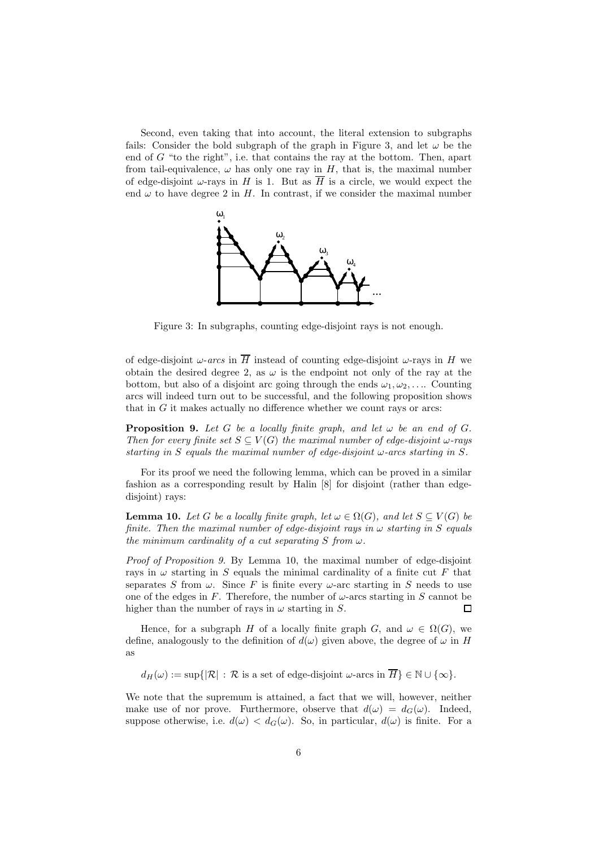Second, even taking that into account, the literal extension to subgraphs fails: Consider the bold subgraph of the graph in Figure 3, and let  $\omega$  be the end of  $G$  "to the right", i.e. that contains the ray at the bottom. Then, apart from tail-equivalence,  $\omega$  has only one ray in  $H$ , that is, the maximal number of edge-disjoint  $\omega$ -rays in H is 1. But as  $\overline{H}$  is a circle, we would expect the end  $\omega$  to have degree 2 in H. In contrast, if we consider the maximal number



Figure 3: In subgraphs, counting edge-disjoint rays is not enough.

of edge-disjoint  $\omega$ -arcs in  $\overline{H}$  instead of counting edge-disjoint  $\omega$ -rays in H we obtain the desired degree 2, as  $\omega$  is the endpoint not only of the ray at the bottom, but also of a disjoint arc going through the ends  $\omega_1, \omega_2, \ldots$  Counting arcs will indeed turn out to be successful, and the following proposition shows that in  $G$  it makes actually no difference whether we count rays or arcs:

**Proposition 9.** Let G be a locally finite graph, and let  $\omega$  be an end of G. Then for every finite set  $S \subseteq V(G)$  the maximal number of edge-disjoint  $\omega$ -rays starting in S equals the maximal number of edge-disjoint  $\omega$ -arcs starting in S.

For its proof we need the following lemma, which can be proved in a similar fashion as a corresponding result by Halin [8] for disjoint (rather than edgedisjoint) rays:

**Lemma 10.** Let G be a locally finite graph, let  $\omega \in \Omega(G)$ , and let  $S \subset V(G)$  be finite. Then the maximal number of edge-disjoint rays in  $\omega$  starting in S equals the minimum cardinality of a cut separating S from  $\omega$ .

Proof of Proposition 9. By Lemma 10, the maximal number of edge-disjoint rays in  $\omega$  starting in S equals the minimal cardinality of a finite cut F that separates S from  $\omega$ . Since F is finite every  $\omega$ -arc starting in S needs to use one of the edges in F. Therefore, the number of  $\omega$ -arcs starting in S cannot be higher than the number of rays in  $\omega$  starting in S. П

Hence, for a subgraph H of a locally finite graph G, and  $\omega \in \Omega(G)$ , we define, analogously to the definition of  $d(\omega)$  given above, the degree of  $\omega$  in H as

 $d_H(\omega) := \sup\{|\mathcal{R}| : \mathcal{R} \text{ is a set of edge-disjoint } \omega\text{-arcs in }\overline{H}\}\in\mathbb{N}\cup\{\infty\}.$ 

We note that the supremum is attained, a fact that we will, however, neither make use of nor prove. Furthermore, observe that  $d(\omega) = d_G(\omega)$ . Indeed, suppose otherwise, i.e.  $d(\omega) < d_G(\omega)$ . So, in particular,  $d(\omega)$  is finite. For a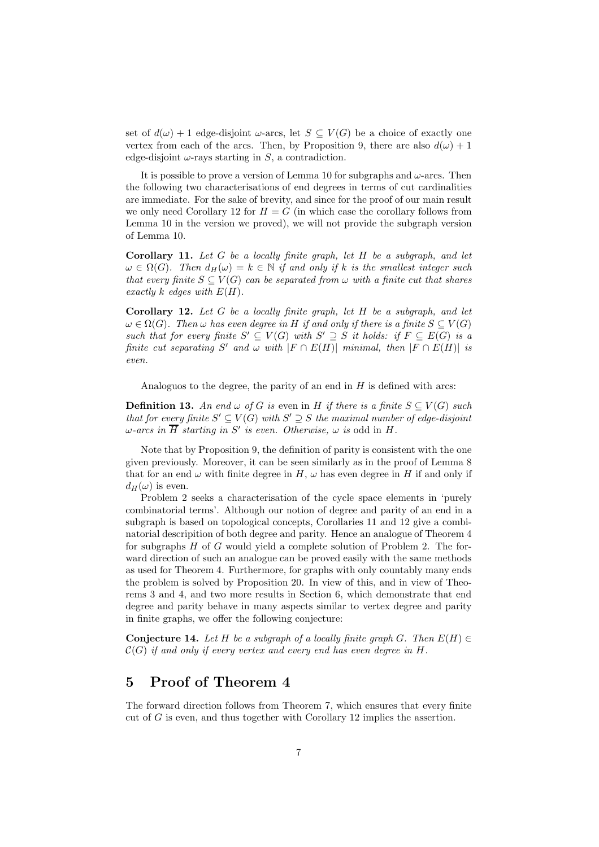set of  $d(\omega) + 1$  edge-disjoint  $\omega$ -arcs, let  $S \subseteq V(G)$  be a choice of exactly one vertex from each of the arcs. Then, by Proposition 9, there are also  $d(\omega) + 1$ edge-disjoint  $\omega$ -rays starting in S, a contradiction.

It is possible to prove a version of Lemma 10 for subgraphs and  $\omega$ -arcs. Then the following two characterisations of end degrees in terms of cut cardinalities are immediate. For the sake of brevity, and since for the proof of our main result we only need Corollary 12 for  $H = G$  (in which case the corollary follows from Lemma 10 in the version we proved), we will not provide the subgraph version of Lemma 10.

Corollary 11. Let  $G$  be a locally finite graph, let  $H$  be a subgraph, and let  $\omega \in \Omega(G)$ . Then  $d_H(\omega) = k \in \mathbb{N}$  if and only if k is the smallest integer such that every finite  $S \subseteq V(G)$  can be separated from  $\omega$  with a finite cut that shares exactly k edges with  $E(H)$ .

Corollary 12. Let G be a locally finite graph, let H be a subgraph, and let  $\omega \in \Omega(G)$ . Then  $\omega$  has even degree in H if and only if there is a finite  $S \subseteq V(G)$ such that for every finite  $S' \subseteq V(G)$  with  $S' \supseteq S$  it holds: if  $F \subseteq E(G)$  is a finite cut separating S' and  $\omega$  with  $|F \cap E(H)|$  minimal, then  $|F \cap E(H)|$  is even.

Analoguos to the degree, the parity of an end in  $H$  is defined with arcs:

**Definition 13.** An end  $\omega$  of G is even in H if there is a finite  $S \subseteq V(G)$  such that for every finite  $S' \subseteq V(G)$  with  $S' \supseteq S$  the maximal number of edge-disjoint  $\omega$ -arcs in  $\overline{H}$  starting in S' is even. Otherwise,  $\omega$  is odd in H.

Note that by Proposition 9, the definition of parity is consistent with the one given previously. Moreover, it can be seen similarly as in the proof of Lemma 8 that for an end  $\omega$  with finite degree in H,  $\omega$  has even degree in H if and only if  $d_H(\omega)$  is even.

Problem 2 seeks a characterisation of the cycle space elements in 'purely combinatorial terms'. Although our notion of degree and parity of an end in a subgraph is based on topological concepts, Corollaries 11 and 12 give a combinatorial descripition of both degree and parity. Hence an analogue of Theorem 4 for subgraphs  $H$  of  $G$  would yield a complete solution of Problem 2. The forward direction of such an analogue can be proved easily with the same methods as used for Theorem 4. Furthermore, for graphs with only countably many ends the problem is solved by Proposition 20. In view of this, and in view of Theorems 3 and 4, and two more results in Section 6, which demonstrate that end degree and parity behave in many aspects similar to vertex degree and parity in finite graphs, we offer the following conjecture:

Conjecture 14. Let H be a subgraph of a locally finite graph G. Then  $E(H) \in$  $\mathcal{C}(G)$  if and only if every vertex and every end has even degree in H.

# 5 Proof of Theorem 4

The forward direction follows from Theorem 7, which ensures that every finite cut of  $G$  is even, and thus together with Corollary 12 implies the assertion.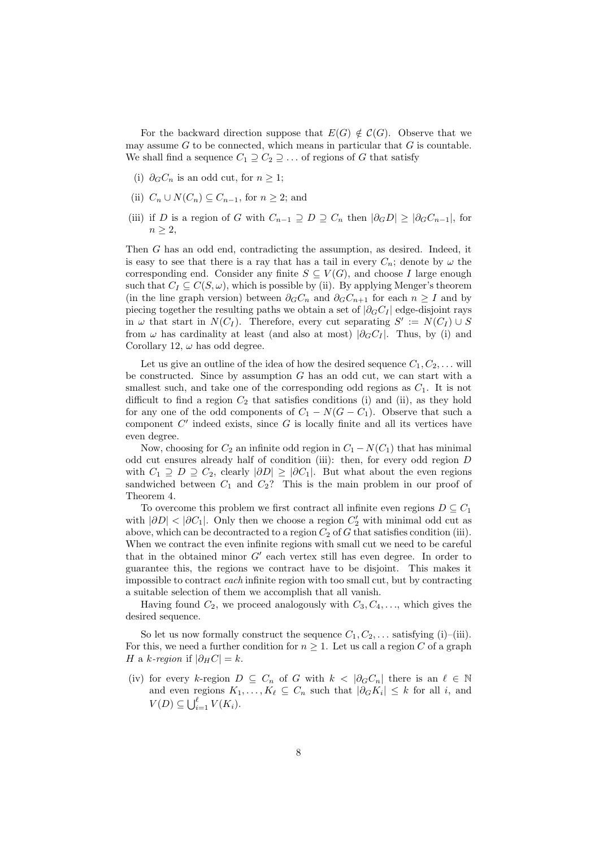For the backward direction suppose that  $E(G) \notin C(G)$ . Observe that we may assume  $G$  to be connected, which means in particular that  $G$  is countable. We shall find a sequence  $C_1 \supseteq C_2 \supseteq \ldots$  of regions of G that satisfy

- (i)  $\partial_G C_n$  is an odd cut, for  $n \geq 1$ ;
- (ii)  $C_n \cup N(C_n) \subseteq C_{n-1}$ , for  $n \geq 2$ ; and
- (iii) if D is a region of G with  $C_{n-1} \supseteq D \supseteq C_n$  then  $|\partial_G D| \geq |\partial_G C_{n-1}|$ , for  $n \geq 2$ ,

Then G has an odd end, contradicting the assumption, as desired. Indeed, it is easy to see that there is a ray that has a tail in every  $C_n$ ; denote by  $\omega$  the corresponding end. Consider any finite  $S \subseteq V(G)$ , and choose I large enough such that  $C_I \subseteq C(S, \omega)$ , which is possible by (ii). By applying Menger's theorem (in the line graph version) between  $\partial_G C_n$  and  $\partial_G C_{n+1}$  for each  $n \geq I$  and by piecing together the resulting paths we obtain a set of  $|\partial_G C_I|$  edge-disjoint rays in  $\omega$  that start in  $N(C_I)$ . Therefore, every cut separating  $S' := N(C_I) \cup S$ from  $\omega$  has cardinality at least (and also at most)  $|\partial_G C_I|$ . Thus, by (i) and Corollary 12,  $\omega$  has odd degree.

Let us give an outline of the idea of how the desired sequence  $C_1, C_2, \ldots$  will be constructed. Since by assumption  $G$  has an odd cut, we can start with a smallest such, and take one of the corresponding odd regions as  $C_1$ . It is not difficult to find a region  $C_2$  that satisfies conditions (i) and (ii), as they hold for any one of the odd components of  $C_1 - N(G - C_1)$ . Observe that such a component  $C'$  indeed exists, since  $G$  is locally finite and all its vertices have even degree.

Now, choosing for  $C_2$  an infinite odd region in  $C_1 - N(C_1)$  that has minimal odd cut ensures already half of condition (iii): then, for every odd region D with  $C_1 \supseteq D \supseteq C_2$ , clearly  $|\partial D| \geq |\partial C_1|$ . But what about the even regions sandwiched between  $C_1$  and  $C_2$ ? This is the main problem in our proof of Theorem 4.

To overcome this problem we first contract all infinite even regions  $D \subseteq C_1$ with  $|\partial D| < |\partial C_1|$ . Only then we choose a region  $C_2'$  with minimal odd cut as above, which can be decontracted to a region  $C_2$  of G that satisfies condition (iii). When we contract the even infinite regions with small cut we need to be careful that in the obtained minor  $G'$  each vertex still has even degree. In order to guarantee this, the regions we contract have to be disjoint. This makes it impossible to contract each infinite region with too small cut, but by contracting a suitable selection of them we accomplish that all vanish.

Having found  $C_2$ , we proceed analogously with  $C_3, C_4, \ldots$ , which gives the desired sequence.

So let us now formally construct the sequence  $C_1, C_2, \ldots$  satisfying (i)–(iii). For this, we need a further condition for  $n \geq 1$ . Let us call a region C of a graph H a k-region if  $|\partial_H C| = k$ .

(iv) for every k-region  $D \subseteq C_n$  of G with  $k < |\partial_G C_n|$  there is an  $\ell \in \mathbb{N}$ and even regions  $K_1, \ldots, K_\ell \subseteq C_n$  such that  $|\partial_G K_i| \leq k$  for all i, and  $V(D) \subseteq \bigcup_{i=1}^{\ell} V(K_i).$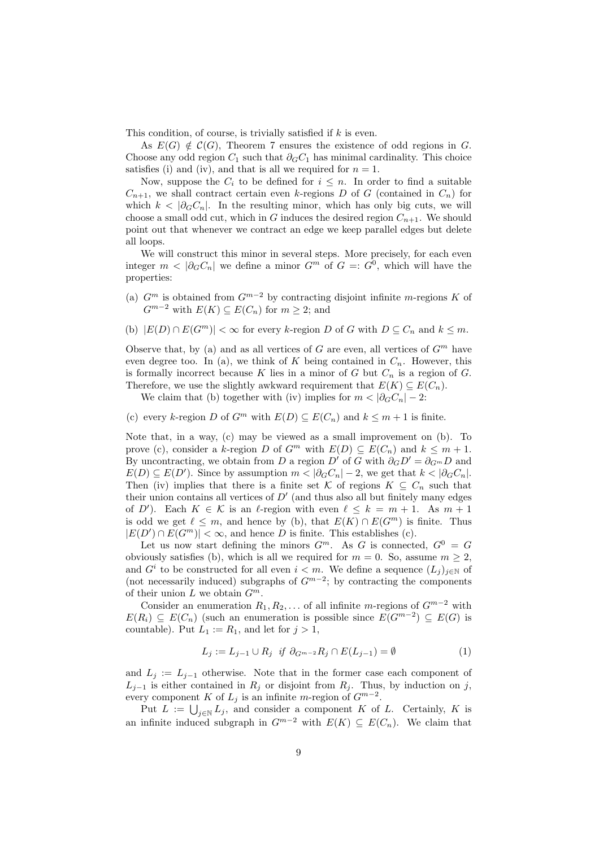This condition, of course, is trivially satisfied if  $k$  is even.

As  $E(G) \notin \mathcal{C}(G)$ , Theorem 7 ensures the existence of odd regions in G. Choose any odd region  $C_1$  such that  $\partial_G C_1$  has minimal cardinality. This choice satisfies (i) and (iv), and that is all we required for  $n = 1$ .

Now, suppose the  $C_i$  to be defined for  $i \leq n$ . In order to find a suitable  $C_{n+1}$ , we shall contract certain even k-regions D of G (contained in  $C_n$ ) for which  $k < |\partial_G C_n|$ . In the resulting minor, which has only big cuts, we will choose a small odd cut, which in G induces the desired region  $C_{n+1}$ . We should point out that whenever we contract an edge we keep parallel edges but delete all loops.

We will construct this minor in several steps. More precisely, for each even integer  $m < |\partial_G C_n|$  we define a minor  $G^m$  of  $G =: G^0$ , which will have the properties:

- (a)  $G^m$  is obtained from  $G^{m-2}$  by contracting disjoint infinite m-regions K of  $G^{m-2}$  with  $E(K) \subseteq E(C_n)$  for  $m \geq 2$ ; and
- (b)  $|E(D) \cap E(G^m)| < \infty$  for every k-region D of G with  $D \subseteq C_n$  and  $k \leq m$ .

Observe that, by (a) and as all vertices of G are even, all vertices of  $G<sup>m</sup>$  have even degree too. In (a), we think of K being contained in  $C_n$ . However, this is formally incorrect because K lies in a minor of G but  $C_n$  is a region of G. Therefore, we use the slightly awkward requirement that  $E(K) \subseteq E(C_n)$ .

We claim that (b) together with (iv) implies for  $m < |\partial_G C_n| - 2$ :

(c) every k-region D of  $G^m$  with  $E(D) \subseteq E(C_n)$  and  $k \leq m+1$  is finite.

Note that, in a way, (c) may be viewed as a small improvement on (b). To prove (c), consider a k-region D of  $G^m$  with  $E(D) \subseteq E(C_n)$  and  $k \leq m+1$ . By uncontracting, we obtain from D a region D' of G with  $\partial_G D' = \partial_{G^m} D$  and  $E(D) \subseteq E(D')$ . Since by assumption  $m < |\partial_G C_n| - 2$ , we get that  $k < |\partial_G C_n|$ . Then (iv) implies that there is a finite set K of regions  $K \subseteq C_n$  such that their union contains all vertices of  $D'$  (and thus also all but finitely many edges of D'). Each  $K \in \mathcal{K}$  is an  $\ell$ -region with even  $\ell \leq k = m + 1$ . As  $m + 1$ is odd we get  $\ell \leq m$ , and hence by (b), that  $E(K) \cap E(G^m)$  is finite. Thus  $|E(D') \cap E(G<sup>m</sup>)| < \infty$ , and hence D is finite. This establishes (c).

Let us now start defining the minors  $G^m$ . As G is connected,  $G^0 = G$ obviously satisfies (b), which is all we required for  $m = 0$ . So, assume  $m \ge 2$ , and  $G^i$  to be constructed for all even  $i < m$ . We define a sequence  $(L_j)_{j \in \mathbb{N}}$  of (not necessarily induced) subgraphs of  $G^{m-2}$ ; by contracting the components of their union L we obtain  $G^m$ .

Consider an enumeration  $R_1, R_2, \ldots$  of all infinite m-regions of  $G^{m-2}$  with  $E(R_i) \subseteq E(C_n)$  (such an enumeration is possible since  $E(G^{m-2}) \subseteq E(G)$  is countable). Put  $L_1 := R_1$ , and let for  $j > 1$ ,

$$
L_j := L_{j-1} \cup R_j \ \text{if} \ \partial_{G^{m-2}} R_j \cap E(L_{j-1}) = \emptyset \tag{1}
$$

and  $L_j := L_{j-1}$  otherwise. Note that in the former case each component of  $L_{j-1}$  is either contained in  $R_j$  or disjoint from  $R_j$ . Thus, by induction on j, every component K of  $L_j$  is an infinite m-region of  $G^{m-2}$ .

Put  $L := \bigcup_{j \in \mathbb{N}} L_j$ , and consider a component K of L. Certainly, K is an infinite induced subgraph in  $G^{m-2}$  with  $E(K) \subseteq E(C_n)$ . We claim that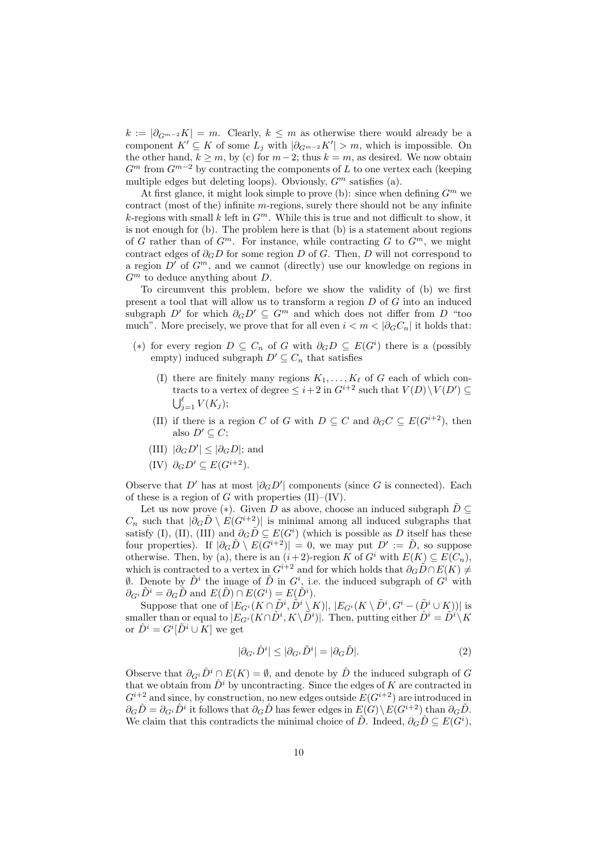$k := |\partial_{G^{m-2}} K| = m$ . Clearly,  $k \leq m$  as otherwise there would already be a component  $K' \subseteq K$  of some  $L_j$  with  $|\partial_{G^{m-2}}K'| > m$ , which is impossible. On the other hand,  $k \geq m$ , by (c) for  $m-2$ ; thus  $k = m$ , as desired. We now obtain  $G^m$  from  $G^{m-2}$  by contracting the components of L to one vertex each (keeping multiple edges but deleting loops). Obviously,  $G<sup>m</sup>$  satisfies (a).

At first glance, it might look simple to prove (b): since when defining  $G^m$  we contract (most of the) infinite m-regions, surely there should not be any infinite k-regions with small k left in  $G^m$ . While this is true and not difficult to show, it is not enough for (b). The problem here is that (b) is a statement about regions of G rather than of  $G^m$ . For instance, while contracting G to  $G^m$ , we might contract edges of  $\partial_G D$  for some region D of G. Then, D will not correspond to a region  $D'$  of  $G^m$ , and we cannot (directly) use our knowledge on regions in  $G<sup>m</sup>$  to deduce anything about D.

To circumvent this problem, before we show the validity of (b) we first present a tool that will allow us to transform a region D of G into an induced subgraph D' for which  $\partial_G D' \subseteq G^m$  and which does not differ from D "too much". More precisely, we prove that for all even  $i < m < |\partial_G C_n|$  it holds that:

- (\*) for every region  $D \subseteq C_n$  of G with  $\partial_G D \subseteq E(G^i)$  there is a (possibly empty) induced subgraph  $D' \subseteq C_n$  that satisfies
	- (I) there are finitely many regions  $K_1, \ldots, K_\ell$  of G each of which contracts to a vertex of degree  $\leq i+2$  in  $G^{i+2}$  such that  $V(D) \setminus V(D') \subseteq$  $\bigcup_{j=1}^{\ell} V(K_j);$
	- (II) if there is a region C of G with  $D \subseteq C$  and  $\partial_G C \subseteq E(G^{i+2})$ , then also  $D' \subseteq C$ :
	- (III)  $|\partial_G D'| \leq |\partial_G D|$ ; and
	- (IV)  $\partial_G D' \subseteq E(G^{i+2})$ .

Observe that  $D'$  has at most  $|\partial_G D'|$  components (since G is connected). Each of these is a region of G with properties  $(II)$ – $(IV)$ .

Let us now prove (\*). Given D as above, choose an induced subgraph  $\hat{D} \subseteq$  $C_n$  such that  $|\partial_G \tilde{D} \setminus E(G^{i+2})|$  is minimal among all induced subgraphs that satisfy (I), (II), (III) and  $\partial_G \tilde{D} \subseteq E(G^i)$  (which is possible as D itself has these four properties). If  $|\partial_G \tilde{D} \setminus E(G^{i+2})| = 0$ , we may put  $D' := \tilde{D}$ , so suppose otherwise. Then, by (a), there is an  $(i+2)$ -region K of  $G^i$  with  $E(K) \subseteq E(C_n)$ , which is contracted to a vertex in  $G^{i+2}$  and for which holds that  $\partial_G \tilde{D} \cap E(K) \neq$  $\emptyset$ . Denote by  $\tilde{D}^i$  the image of  $\tilde{D}$  in  $G^i$ , i.e. the induced subgraph of  $G^i$  with  $\partial_{G_i}\tilde{D}^i = \partial_G\tilde{D}$  and  $E(\tilde{D}) \cap E(G^i) = E(\tilde{D}^i)$ .

Suppose that one of  $|E_{G^i}(K \cap \tilde{D}^i, \tilde{D}^i \setminus K)|, |E_{G^i}(K \setminus \tilde{D}^i, G^i - (\tilde{D}^i \cup K))|$  is smaller than or equal to  $|E_{G^i}(K\cap \tilde{D}^i, K\setminus \tilde{D}^i)|$ . Then, putting either  $\hat{D}^i = \tilde{D}^i\setminus K$ or  $\hat{D}^i = G^i[\tilde{D}^i \cup K]$  we get

$$
|\partial_{G^i}\hat{D}^i| \le |\partial_{G^i}\tilde{D}^i| = |\partial_G\tilde{D}|.
$$
 (2)

Observe that  $\partial_{G} \hat{D}^i \cap E(K) = \emptyset$ , and denote by  $\hat{D}$  the induced subgraph of G that we obtain from  $\hat{D}^i$  by uncontracting. Since the edges of K are contracted in  $G^{i+2}$  and since, by construction, no new edges outside  $E(G^{i+2})$  are introduced in  $\partial_G \hat{D} = \partial_{G^i} \hat{D}^i$  it follows that  $\partial_G \hat{D}$  has fewer edges in  $E(G) \setminus E(G^{i+2})$  than  $\partial_G \tilde{D}$ . We claim that this contradicts the minimal choice of  $\tilde{D}$ . Indeed,  $\partial_G \hat{D} \subseteq E(G^i)$ ,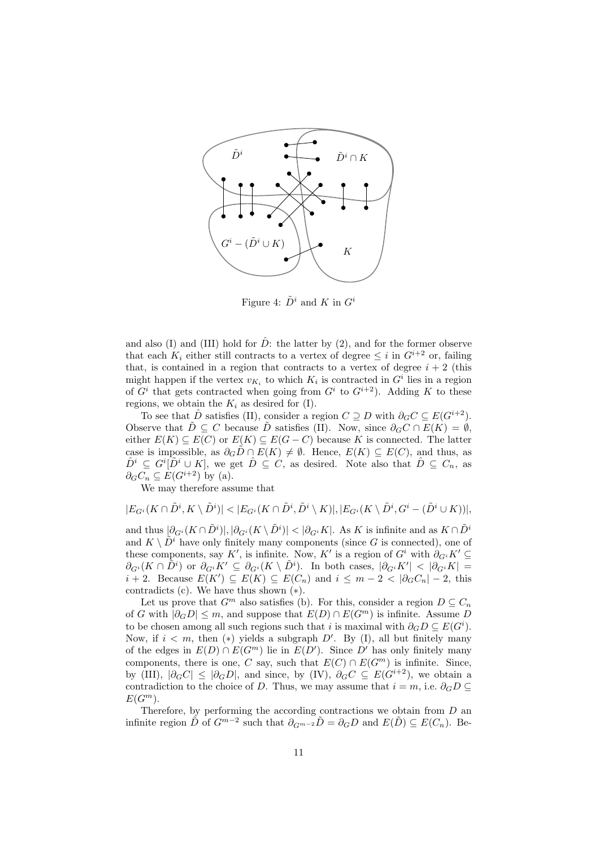

Figure 4:  $\tilde{D}^i$  and K in  $G^i$ 

and also (I) and (III) hold for  $\hat{D}$ : the latter by (2), and for the former observe that each  $K_i$  either still contracts to a vertex of degree  $\leq i$  in  $G^{i+2}$  or, failing that, is contained in a region that contracts to a vertex of degree  $i + 2$  (this might happen if the vertex  $v_{K_i}$  to which  $K_i$  is contracted in  $G^i$  lies in a region of  $G^i$  that gets contracted when going from  $G^i$  to  $G^{i+2}$ ). Adding K to these regions, we obtain the  $K_i$  as desired for (I).

To see that  $\hat{D}$  satisfies (II), consider a region  $C \supseteq D$  with  $\partial_G C \subseteq E(G^{i+2})$ . Observe that  $\tilde{D} \subseteq C$  because  $\tilde{D}$  satisfies (II). Now, since  $\partial_G C \cap E(K) = \emptyset$ , either  $E(K) \subseteq E(C)$  or  $E(K) \subseteq E(G-C)$  because K is connected. The latter case is impossible, as  $\partial_G \tilde{D} \cap E(K) \neq \emptyset$ . Hence,  $E(K) \subseteq E(C)$ , and thus, as  $\hat{D}^i \subseteq G^i[\tilde{D}^i \cup K],$  we get  $\hat{D} \subseteq C$ , as desired. Note also that  $\hat{D} \subseteq C_n$ , as  $\partial_G C_n \subseteq E(G^{i+2})$  by (a).

We may therefore assume that

$$
|E_{G^i}(K\cap \tilde{D}^i,K\setminus \tilde{D}^i)|<|E_{G^i}(K\cap \tilde{D}^i,\tilde{D}^i\setminus K)|,|E_{G^i}(K\setminus \tilde{D}^i,G^i-(\tilde{D}^i\cup K))|,
$$

and thus  $|\partial_{G^i}(K \cap \tilde{D}^i)|, |\partial_{G^i}(K \setminus \tilde{D}^i)| < |\partial_{G^i}K|$ . As K is infinite and as  $K \cap \tilde{D}^i$ and  $K \setminus \tilde{D}^i$  have only finitely many components (since G is connected), one of these components, say K', is infinite. Now, K' is a region of  $G^i$  with  $\partial_{G^i} K' \subseteq$  $\partial_{G^i}(K \cap \tilde{D}^i)$  or  $\partial_{G^i}K' \subseteq \partial_{G^i}(K \setminus \tilde{D}^i)$ . In both cases,  $|\partial_{G^i}K'| < |\partial_{G^i}K|$  $i+2$ . Because  $E(K') \subseteq E(K) \subseteq E(C_n)$  and  $i \leq m-2 < |\partial_G C_n| - 2$ , this contradicts  $(c)$ . We have thus shown  $(*)$ .

Let us prove that  $G^m$  also satisfies (b). For this, consider a region  $D \subseteq C_n$ of G with  $|\partial_G D| \leq m$ , and suppose that  $E(D) \cap E(G^m)$  is infinite. Assume D to be chosen among all such regions such that i is maximal with  $\partial_G D \subseteq E(G^i)$ . Now, if  $i < m$ , then  $(*)$  yields a subgraph D'. By (I), all but finitely many of the edges in  $E(D) \cap E(G^m)$  lie in  $E(D')$ . Since  $D'$  has only finitely many components, there is one, C say, such that  $E(C) \cap E(G^m)$  is infinite. Since, by (III),  $|\partial_G C| \leq |\partial_G D|$ , and since, by (IV),  $\partial_G C \subseteq E(G^{i+2})$ , we obtain a contradiction to the choice of D. Thus, we may assume that  $i = m$ , i.e.  $\partial_G D \subseteq$  $E(G^m)$ .

Therefore, by performing the according contractions we obtain from D an infinite region  $\tilde{D}$  of  $G^{m-2}$  such that  $\partial_{G^{m-2}}\tilde{D}=\partial_G D$  and  $E(\tilde{D})\subseteq E(C_n)$ . Be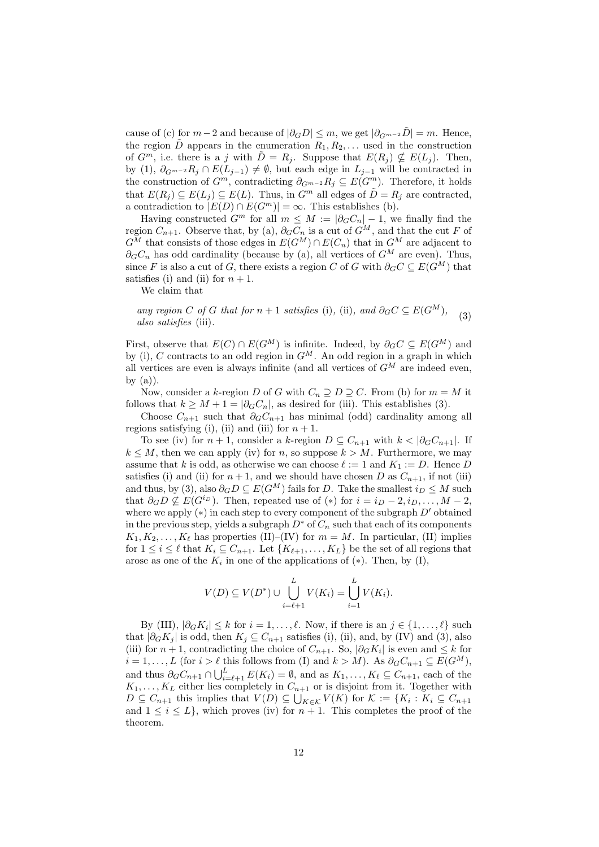cause of (c) for  $m-2$  and because of  $|\partial_G D| \leq m$ , we get  $|\partial_{G^{m-2}} D| = m$ . Hence, the region  $\tilde{D}$  appears in the enumeration  $R_1, R_2, \ldots$  used in the construction of  $G^m$ , i.e. there is a j with  $\tilde{D} = R_j$ . Suppose that  $E(R_j) \nsubseteq E(L_j)$ . Then, by (1),  $\partial_{G^{m-2}} R_j \cap E(L_{j-1}) \neq \emptyset$ , but each edge in  $L_{j-1}$  will be contracted in the construction of  $G^m$ , contradicting  $\partial_{G^{m-2}}R_i \subseteq E(G^m)$ . Therefore, it holds that  $E(R_i) \subseteq E(L_i) \subseteq E(L)$ . Thus, in  $G^m$  all edges of  $\tilde{D} = R_i$  are contracted, a contradiction to  $|E(D) \cap E(G^m)| = \infty$ . This establishes (b).

Having constructed  $G^m$  for all  $m \leq M := |\partial_G C_n| - 1$ , we finally find the region  $C_{n+1}$ . Observe that, by (a),  $\partial_G C_n$  is a cut of  $G^M$ , and that the cut F of  $G^M$  that consists of those edges in  $E(G^M) \cap E(C_n)$  that in  $G^M$  are adjacent to  $\partial_G C_n$  has odd cardinality (because by (a), all vertices of  $G^M$  are even). Thus, since F is also a cut of G, there exists a region C of G with  $\partial_G C \subseteq E(G^M)$  that satisfies (i) and (ii) for  $n + 1$ .

We claim that

any region C of G that for  $n + 1$  satisfies (i), (ii), and  $\partial_G C \subseteq E(G^M)$ , also satisfies (iii). (3)

First, observe that  $E(C) \cap E(G^M)$  is infinite. Indeed, by  $\partial_G C \subseteq E(G^M)$  and by (i), C contracts to an odd region in  $G^M$ . An odd region in a graph in which all vertices are even is always infinite (and all vertices of  $G^M$  are indeed even, by  $(a)$ ).

Now, consider a k-region D of G with  $C_n \supseteq D \supseteq C$ . From (b) for  $m = M$  it follows that  $k \geq M + 1 = |\partial_G C_n|$ , as desired for (iii). This establishes (3).

Choose  $C_{n+1}$  such that  $\partial_G C_{n+1}$  has minimal (odd) cardinality among all regions satisfying (i), (ii) and (iii) for  $n + 1$ .

To see (iv) for  $n + 1$ , consider a k-region  $D \subseteq C_{n+1}$  with  $k < |\partial G C_{n+1}|$ . If  $k \leq M$ , then we can apply (iv) for n, so suppose  $k > M$ . Furthermore, we may assume that k is odd, as otherwise we can choose  $\ell := 1$  and  $K_1 := D$ . Hence D satisfies (i) and (ii) for  $n+1$ , and we should have chosen D as  $C_{n+1}$ , if not (iii) and thus, by (3), also  $\partial_G D \subseteq E(G^M)$  fails for D. Take the smallest  $i_D \leq M$  such that  $\partial_G D \not\subseteq E(G^{i_D})$ . Then, repeated use of  $(*)$  for  $i = i_D - 2, i_D, \ldots, M - 2$ , where we apply  $(*)$  in each step to every component of the subgraph  $D'$  obtained in the previous step, yields a subgraph  $D^*$  of  $C_n$  such that each of its components  $K_1, K_2, \ldots, K_\ell$  has properties (II)–(IV) for  $m = M$ . In particular, (II) implies for  $1 \leq i \leq \ell$  that  $K_i \subseteq C_{n+1}$ . Let  $\{K_{\ell+1}, \ldots, K_L\}$  be the set of all regions that arose as one of the  $K_i$  in one of the applications of  $(*)$ . Then, by  $(I)$ ,

$$
V(D) \subseteq V(D^*) \cup \bigcup_{i=\ell+1}^L V(K_i) = \bigcup_{i=1}^L V(K_i).
$$

By (III),  $|\partial_G K_i| \leq k$  for  $i = 1, \ldots, \ell$ . Now, if there is an  $j \in \{1, \ldots, \ell\}$  such that  $|\partial_G K_j|$  is odd, then  $K_j \subseteq C_{n+1}$  satisfies (i), (ii), and, by (IV) and (3), also (iii) for  $n+1$ , contradicting the choice of  $C_{n+1}$ . So,  $|\partial_G K_i|$  is even and  $\leq k$  for  $i = 1, \ldots, L$  (for  $i > \ell$  this follows from (I) and  $k > M$ ). As  $\partial_G C_{n+1} \subseteq E(G^M)$ , and thus  $\partial_G C_{n+1} \cap \bigcup_{i=\ell+1}^L E(K_i) = \emptyset$ , and as  $K_1, \ldots, K_\ell \subseteq C_{n+1}$ , each of the  $K_1, \ldots, K_L$  either lies completely in  $C_{n+1}$  or is disjoint from it. Together with  $D \subseteq C_{n+1}$  this implies that  $V(D) \subseteq \bigcup_{K \in \mathcal{K}} V(K)$  for  $\mathcal{K} := \{K_i : K_i \subseteq C_{n+1}\}$ and  $1 \leq i \leq L$ , which proves (iv) for  $n+1$ . This completes the proof of the theorem.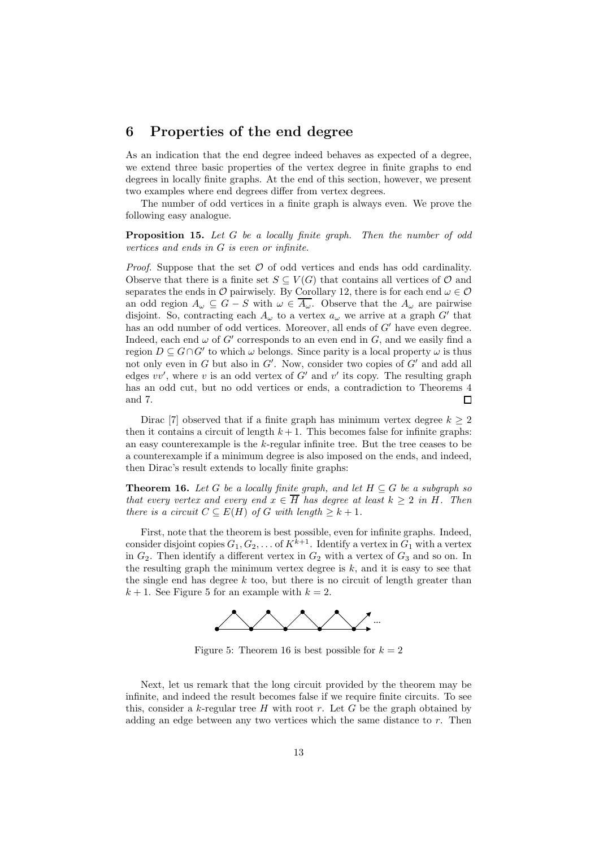#### 6 Properties of the end degree

As an indication that the end degree indeed behaves as expected of a degree, we extend three basic properties of the vertex degree in finite graphs to end degrees in locally finite graphs. At the end of this section, however, we present two examples where end degrees differ from vertex degrees.

The number of odd vertices in a finite graph is always even. We prove the following easy analogue.

Proposition 15. Let G be a locally finite graph. Then the number of odd vertices and ends in G is even or infinite.

*Proof.* Suppose that the set  $\mathcal O$  of odd vertices and ends has odd cardinality. Observe that there is a finite set  $S \subseteq V(G)$  that contains all vertices of  $\mathcal O$  and separates the ends in  $\mathcal O$  pairwisely. By Corollary 12, there is for each end  $\omega \in \mathcal O$ an odd region  $A_\omega \subseteq G - S$  with  $\omega \in \overline{A_\omega}$ . Observe that the  $A_\omega$  are pairwise disjoint. So, contracting each  $A_{\omega}$  to a vertex  $a_{\omega}$  we arrive at a graph G' that has an odd number of odd vertices. Moreover, all ends of  $G'$  have even degree. Indeed, each end  $\omega$  of G' corresponds to an even end in G, and we easily find a region  $D \subseteq G \cap G'$  to which  $\omega$  belongs. Since parity is a local property  $\omega$  is thus not only even in G but also in G'. Now, consider two copies of G' and add all edges  $vv'$ , where v is an odd vertex of  $G'$  and  $v'$  its copy. The resulting graph has an odd cut, but no odd vertices or ends, a contradiction to Theorems 4 and 7.  $\Box$ 

Dirac [7] observed that if a finite graph has minimum vertex degree  $k \geq 2$ then it contains a circuit of length  $k + 1$ . This becomes false for infinite graphs: an easy counterexample is the  $k$ -regular infinite tree. But the tree ceases to be a counterexample if a minimum degree is also imposed on the ends, and indeed, then Dirac's result extends to locally finite graphs:

**Theorem 16.** Let G be a locally finite graph, and let  $H \subseteq G$  be a subgraph so that every vertex and every end  $x \in \overline{H}$  has degree at least  $k \geq 2$  in H. Then there is a circuit  $C \subseteq E(H)$  of G with length  $\geq k+1$ .

First, note that the theorem is best possible, even for infinite graphs. Indeed, consider disjoint copies  $G_1, G_2, \ldots$  of  $K^{k+1}$ . Identify a vertex in  $G_1$  with a vertex in  $G_2$ . Then identify a different vertex in  $G_2$  with a vertex of  $G_3$  and so on. In the resulting graph the minimum vertex degree is  $k$ , and it is easy to see that the single end has degree  $k$  too, but there is no circuit of length greater than  $k+1$ . See Figure 5 for an example with  $k=2$ .



Figure 5: Theorem 16 is best possible for  $k = 2$ 

Next, let us remark that the long circuit provided by the theorem may be infinite, and indeed the result becomes false if we require finite circuits. To see this, consider a k-regular tree  $H$  with root  $r$ . Let  $G$  be the graph obtained by adding an edge between any two vertices which the same distance to  $r$ . Then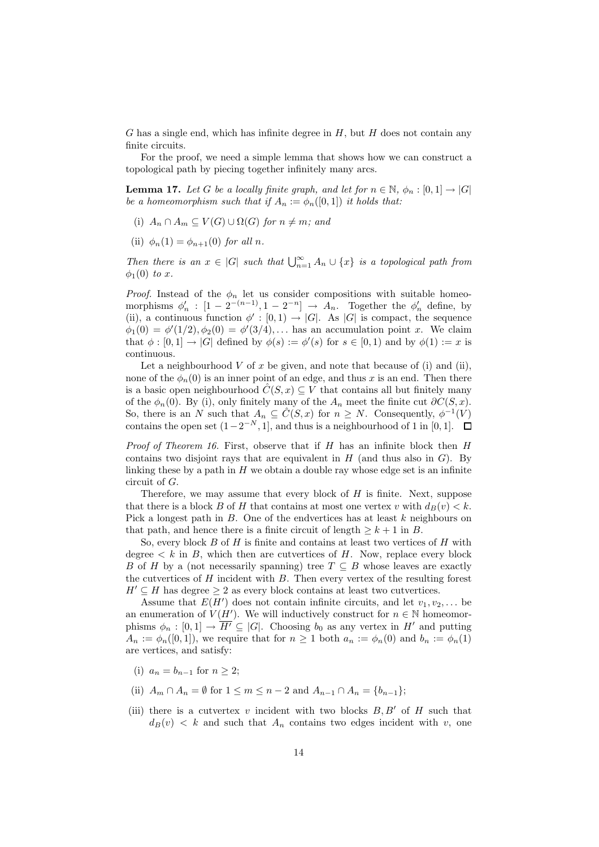G has a single end, which has infinite degree in  $H$ , but  $H$  does not contain any finite circuits.

For the proof, we need a simple lemma that shows how we can construct a topological path by piecing together infinitely many arcs.

**Lemma 17.** Let G be a locally finite graph, and let for  $n \in \mathbb{N}$ ,  $\phi_n : [0,1] \to |G|$ be a homeomorphism such that if  $A_n := \phi_n([0,1])$  it holds that:

- (i)  $A_n \cap A_m \subseteq V(G) \cup \Omega(G)$  for  $n \neq m$ ; and
- (ii)  $\phi_n(1) = \phi_{n+1}(0)$  for all n.

Then there is an  $x \in |G|$  such that  $\bigcup_{n=1}^{\infty} A_n \cup \{x\}$  is a topological path from  $\phi_1(0)$  to x.

*Proof.* Instead of the  $\phi_n$  let us consider compositions with suitable homeomorphisms  $\phi'_n : [1 - 2^{-(n-1)}, 1 - 2^{-n}] \rightarrow A_n$ . Together the  $\phi'_n$  define, by (ii), a continuous function  $\phi' : [0,1) \to |G|$ . As  $|G|$  is compact, the sequence  $\phi_1(0) = \phi'(1/2), \phi_2(0) = \phi'(3/4), \dots$  has an accumulation point x. We claim that  $\phi : [0,1] \to |G|$  defined by  $\phi(s) := \phi'(s)$  for  $s \in [0,1)$  and by  $\phi(1) := x$  is continuous.

Let a neighbourhood V of x be given, and note that because of (i) and (ii), none of the  $\phi_n(0)$  is an inner point of an edge, and thus x is an end. Then there is a basic open neighbourhood  $\hat{C}(S, x) \subseteq V$  that contains all but finitely many of the  $\phi_n(0)$ . By (i), only finitely many of the  $A_n$  meet the finite cut  $\partial C(S, x)$ . So, there is an N such that  $A_n \subseteq \hat{C}(S, x)$  for  $n \geq N$ . Consequently,  $\phi^{-1}(V)$ contains the open set  $(1-2^{-N}, 1]$ , and thus is a neighbourhood of 1 in [0, 1].

*Proof of Theorem 16.* First, observe that if  $H$  has an infinite block then  $H$ contains two disjoint rays that are equivalent in  $H$  (and thus also in  $G$ ). By linking these by a path in  $H$  we obtain a double ray whose edge set is an infinite circuit of G.

Therefore, we may assume that every block of  $H$  is finite. Next, suppose that there is a block B of H that contains at most one vertex v with  $d_B(v) < k$ . Pick a longest path in  $B$ . One of the endvertices has at least  $k$  neighbours on that path, and hence there is a finite circuit of length  $\geq k+1$  in B.

So, every block  $B$  of  $H$  is finite and contains at least two vertices of  $H$  with degree  $\lt k$  in B, which then are cutvertices of H. Now, replace every block B of H by a (not necessarily spanning) tree  $T \subseteq B$  whose leaves are exactly the cutvertices of  $H$  incident with  $B$ . Then every vertex of the resulting forest  $H' \subseteq H$  has degree  $\geq 2$  as every block contains at least two cutvertices.

Assume that  $E(H')$  does not contain infinite circuits, and let  $v_1, v_2, \ldots$  be an enumeration of  $V(H')$ . We will inductively construct for  $n \in \mathbb{N}$  homeomorphisms  $\phi_n : [0,1] \to \overline{H'} \subseteq |G|$ . Choosing  $b_0$  as any vertex in H' and putting  $A_n := \phi_n([0,1]),$  we require that for  $n \geq 1$  both  $a_n := \phi_n(0)$  and  $b_n := \phi_n(1)$ are vertices, and satisfy:

- (i)  $a_n = b_{n-1}$  for  $n > 2$ ;
- (ii)  $A_m \cap A_n = \emptyset$  for  $1 \le m \le n-2$  and  $A_{n-1} \cap A_n = \{b_{n-1}\};$
- (iii) there is a cutvertex v incident with two blocks  $B, B'$  of H such that  $d_B(v) < k$  and such that  $A_n$  contains two edges incident with v, one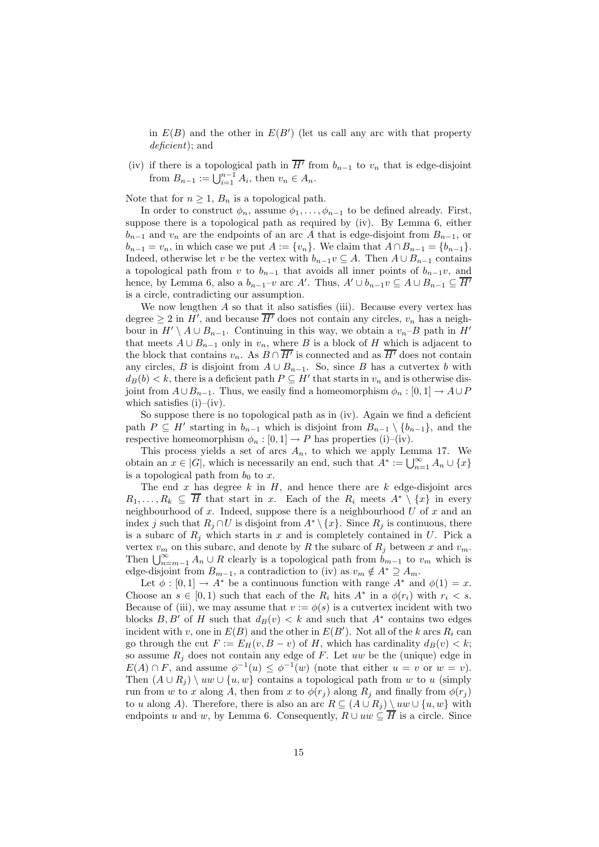in  $E(B)$  and the other in  $E(B')$  (let us call any arc with that property deficient); and

(iv) if there is a topological path in  $\overline{H'}$  from  $b_{n-1}$  to  $v_n$  that is edge-disjoint from  $B_{n-1} := \bigcup_{i=1}^{n-1} A_i$ , then  $v_n \in A_n$ .

Note that for  $n \geq 1$ ,  $B_n$  is a topological path.

In order to construct  $\phi_n$ , assume  $\phi_1, \ldots, \phi_{n-1}$  to be defined already. First, suppose there is a topological path as required by (iv). By Lemma 6, either  $b_{n-1}$  and  $v_n$  are the endpoints of an arc A that is edge-disjoint from  $B_{n-1}$ , or  $b_{n-1} = v_n$ , in which case we put  $A := \{v_n\}$ . We claim that  $A \cap B_{n-1} = \{b_{n-1}\}.$ Indeed, otherwise let v be the vertex with  $b_{n-1}v \subseteq A$ . Then  $A \cup B_{n-1}$  contains a topological path from v to  $b_{n-1}$  that avoids all inner points of  $b_{n-1}v$ , and hence, by Lemma 6, also a  $b_{n-1}-v$  arc A'. Thus,  $A' \cup b_{n-1}v \subseteq A \cup B_{n-1} \subseteq \overline{H'}$ is a circle, contradicting our assumption.

We now lengthen  $A$  so that it also satisfies (iii). Because every vertex has degree  $\geq 2$  in H', and because  $\overline{H'}$  does not contain any circles,  $v_n$  has a neighbour in  $H' \setminus A \cup B_{n-1}$ . Continuing in this way, we obtain a  $v_n-B$  path in  $H'$ that meets  $A \cup B_{n-1}$  only in  $v_n$ , where B is a block of H which is adjacent to the block that contains  $v_n$ . As  $B \cap \overline{H'}$  is connected and as  $\overline{H'}$  does not contain any circles, B is disjoint from  $A \cup B_{n-1}$ . So, since B has a cutvertex b with  $d_B(b) < k$ , there is a deficient path  $P \subseteq H'$  that starts in  $v_n$  and is otherwise disjoint from  $A\cup B_{n-1}$ . Thus, we easily find a homeomorphism  $\phi_n : [0,1] \to A\cup P$ which satisfies  $(i)$ – $(iv)$ .

So suppose there is no topological path as in (iv). Again we find a deficient path  $P \subseteq H'$  starting in  $b_{n-1}$  which is disjoint from  $B_{n-1} \setminus \{b_{n-1}\}\$ , and the respective homeomorphism  $\phi_n : [0,1] \to P$  has properties (i)–(iv).

This process yields a set of arcs  $A_n$ , to which we apply Lemma 17. We obtain an  $x \in |G|$ , which is necessarily an end, such that  $A^* := \bigcup_{n=1}^{\infty} A_n \cup \{x\}$ is a topological path from  $b_0$  to x.

The end  $x$  has degree  $k$  in  $H$ , and hence there are  $k$  edge-disjoint arcs  $R_1, \ldots, R_k \subseteq \overline{H}$  that start in x. Each of the  $R_i$  meets  $A^* \setminus \{x\}$  in every neighbourhood of  $x$ . Indeed, suppose there is a neighbourhood  $U$  of  $x$  and an index j such that  $R_j \cap U$  is disjoint from  $A^* \setminus \{x\}$ . Since  $R_j$  is continuous, there is a subarc of  $R_j$  which starts in x and is completely contained in U. Pick a vertex  $v_m$  on this subarc, and denote by R the subarc of  $R_j$  between x and  $v_m$ . Then  $\bigcup_{n=m-1}^{\infty} A_n \cup R$  clearly is a topological path from  $b_{m-1}$  to  $v_m$  which is edge-disjoint from  $B_{m-1}$ , a contradiction to (iv) as  $v_m \notin A^* \supseteq A_m$ .

Let  $\phi : [0,1] \to A^*$  be a continuous function with range  $A^*$  and  $\phi(1) = x$ . Choose an  $s \in [0,1)$  such that each of the  $R_i$  hits  $A^*$  in a  $\phi(r_i)$  with  $r_i < s$ . Because of (iii), we may assume that  $v := \phi(s)$  is a cutvertex incident with two blocks  $B, B'$  of H such that  $d_B(v) < k$  and such that  $A^*$  contains two edges incident with v, one in  $E(B)$  and the other in  $E(B')$ . Not all of the k arcs  $R_i$  can go through the cut  $F := E_H(v, B - v)$  of H, which has cardinality  $d_B(v) < k$ ; so assume  $R_i$  does not contain any edge of F. Let uw be the (unique) edge in  $E(A) \cap F$ , and assume  $\phi^{-1}(u) \leq \phi^{-1}(w)$  (note that either  $u = v$  or  $w = v$ ). Then  $(A \cup R_i) \setminus uw \cup \{u, w\}$  contains a topological path from w to u (simply run from w to x along A, then from x to  $\phi(r_i)$  along  $R_i$  and finally from  $\phi(r_i)$ to u along A). Therefore, there is also an arc  $R \subseteq (A \cup R_i) \setminus uw \cup \{u, w\}$  with endpoints u and w, by Lemma 6. Consequently,  $R \cup uw \subseteq H$  is a circle. Since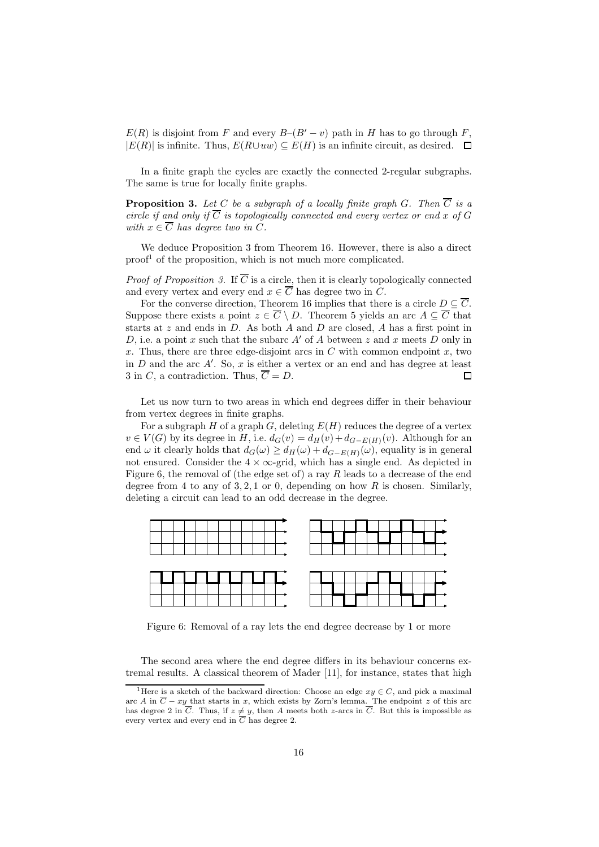$E(R)$  is disjoint from F and every  $B-(B'-v)$  path in H has to go through F,  $|E(R)|$  is infinite. Thus,  $E(R\cup uw) \subseteq E(H)$  is an infinite circuit, as desired.  $\Box$ 

In a finite graph the cycles are exactly the connected 2-regular subgraphs. The same is true for locally finite graphs.

**Proposition 3.** Let C be a subgraph of a locally finite graph G. Then  $\overline{C}$  is a circle if and only if  $\overline{C}$  is topologically connected and every vertex or end x of G with  $x \in \overline{C}$  has degree two in C.

We deduce Proposition 3 from Theorem 16. However, there is also a direct  $\text{proof}^1$  of the proposition, which is not much more complicated.

*Proof of Proposition 3.* If  $\overline{C}$  is a circle, then it is clearly topologically connected and every vertex and every end  $x \in \overline{C}$  has degree two in C.

For the converse direction, Theorem 16 implies that there is a circle  $D \subseteq \overline{C}$ . Suppose there exists a point  $z \in \overline{C} \setminus D$ . Theorem 5 yields an arc  $A \subseteq \overline{C}$  that starts at  $z$  and ends in  $D$ . As both  $A$  and  $D$  are closed,  $A$  has a first point in D, i.e. a point x such that the subarc  $A'$  of A between z and x meets D only in x. Thus, there are three edge-disjoint arcs in  $C$  with common endpoint x, two in  $D$  and the arc  $A'$ . So,  $x$  is either a vertex or an end and has degree at least 3 in C, a contradiction. Thus,  $\overline{C} = D$ .  $\Box$ 

Let us now turn to two areas in which end degrees differ in their behaviour from vertex degrees in finite graphs.

For a subgraph H of a graph G, deleting  $E(H)$  reduces the degree of a vertex  $v \in V(G)$  by its degree in H, i.e.  $d_G(v) = d_H(v) + d_{G-E(H)}(v)$ . Although for an end  $\omega$  it clearly holds that  $d_G(\omega) \geq d_H(\omega) + d_{G-E(H)}(\omega)$ , equality is in general not ensured. Consider the  $4 \times \infty$ -grid, which has a single end. As depicted in Figure 6, the removal of (the edge set of) a ray R leads to a decrease of the end degree from 4 to any of  $3, 2, 1$  or 0, depending on how R is chosen. Similarly, deleting a circuit can lead to an odd decrease in the degree.



Figure 6: Removal of a ray lets the end degree decrease by 1 or more

The second area where the end degree differs in its behaviour concerns extremal results. A classical theorem of Mader [11], for instance, states that high

<sup>&</sup>lt;sup>1</sup>Here is a sketch of the backward direction: Choose an edge  $xy \in C$ , and pick a maximal arc A in  $\overline{C} - xy$  that starts in x, which exists by Zorn's lemma. The endpoint z of this arc has degree 2 in C. Thus, if  $z \neq y$ , then A meets both z-arcs in C. But this is impossible as every vertex and every end in C has degree 2.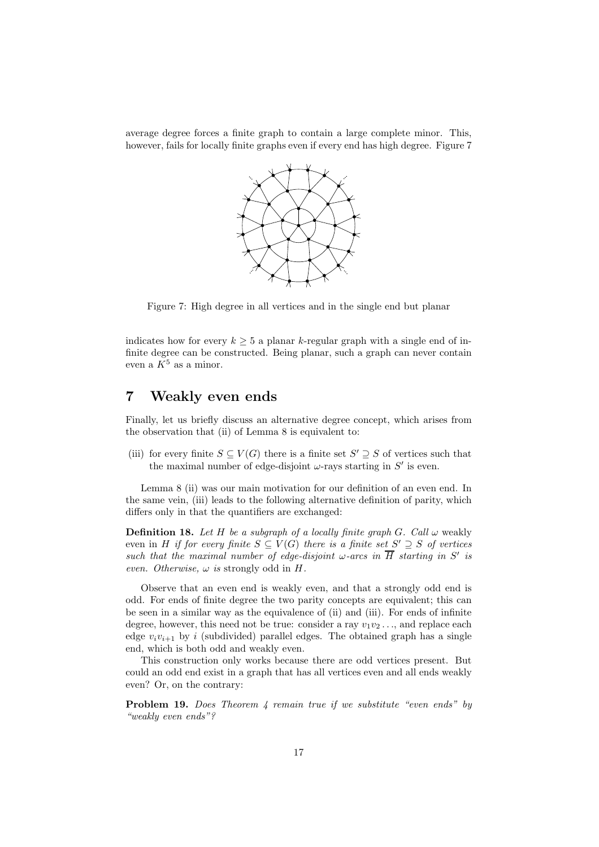average degree forces a finite graph to contain a large complete minor. This, however, fails for locally finite graphs even if every end has high degree. Figure 7



Figure 7: High degree in all vertices and in the single end but planar

indicates how for every  $k \geq 5$  a planar k-regular graph with a single end of infinite degree can be constructed. Being planar, such a graph can never contain even a  $K^5$  as a minor.

# 7 Weakly even ends

Finally, let us briefly discuss an alternative degree concept, which arises from the observation that (ii) of Lemma 8 is equivalent to:

(iii) for every finite  $S \subseteq V(G)$  there is a finite set  $S' \supseteq S$  of vertices such that the maximal number of edge-disjoint  $\omega$ -rays starting in  $S'$  is even.

Lemma 8 (ii) was our main motivation for our definition of an even end. In the same vein, (iii) leads to the following alternative definition of parity, which differs only in that the quantifiers are exchanged:

**Definition 18.** Let H be a subgraph of a locally finite graph G. Call  $\omega$  weakly even in H if for every finite  $S \subseteq V(G)$  there is a finite set  $S' \supseteq S$  of vertices such that the maximal number of edge-disjoint  $\omega$ -arcs in  $\overline{H}$  starting in S' is even. Otherwise,  $\omega$  is strongly odd in H.

Observe that an even end is weakly even, and that a strongly odd end is odd. For ends of finite degree the two parity concepts are equivalent; this can be seen in a similar way as the equivalence of (ii) and (iii). For ends of infinite degree, however, this need not be true: consider a ray  $v_1v_2 \ldots$ , and replace each edge  $v_i v_{i+1}$  by i (subdivided) parallel edges. The obtained graph has a single end, which is both odd and weakly even.

This construction only works because there are odd vertices present. But could an odd end exist in a graph that has all vertices even and all ends weakly even? Or, on the contrary:

Problem 19. Does Theorem 4 remain true if we substitute "even ends" by "weakly even ends"?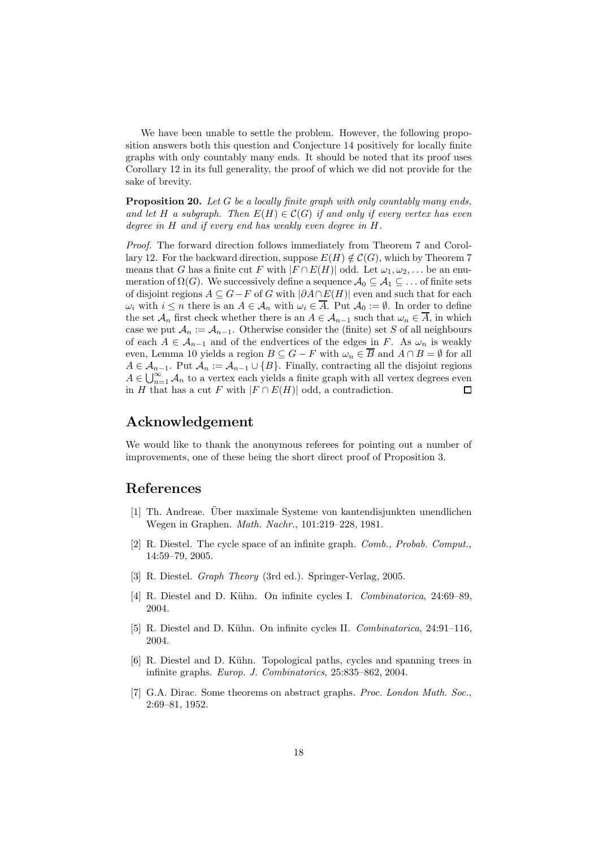We have been unable to settle the problem. However, the following proposition answers both this question and Conjecture 14 positively for locally finite graphs with only countably many ends. It should be noted that its proof uses Corollary 12 in its full generality, the proof of which we did not provide for the sake of brevity.

**Proposition 20.** Let  $G$  be a locally finite graph with only countably many ends, and let H a subgraph. Then  $E(H) \in \mathcal{C}(G)$  if and only if every vertex has even degree in H and if every end has weakly even degree in H.

Proof. The forward direction follows immediately from Theorem 7 and Corollary 12. For the backward direction, suppose  $E(H) \notin \mathcal{C}(G)$ , which by Theorem 7 means that G has a finite cut F with  $|F \cap E(H)|$  odd. Let  $\omega_1, \omega_2, \ldots$  be an enumeration of  $\Omega(G)$ . We successively define a sequence  $\mathcal{A}_0 \subseteq \mathcal{A}_1 \subseteq \ldots$  of finite sets of disjoint regions  $A \subseteq G - F$  of G with  $|\partial A \cap E(H)|$  even and such that for each  $\omega_i$  with  $i \leq n$  there is an  $A \in \mathcal{A}_n$  with  $\omega_i \in \overline{A}$ . Put  $\mathcal{A}_0 := \emptyset$ . In order to define the set  $\mathcal{A}_n$  first check whether there is an  $A \in \mathcal{A}_{n-1}$  such that  $\omega_n \in A$ , in which case we put  $\mathcal{A}_n := \mathcal{A}_{n-1}$ . Otherwise consider the (finite) set S of all neighbours of each  $A \in \mathcal{A}_{n-1}$  and of the endvertices of the edges in F. As  $\omega_n$  is weakly even, Lemma 10 yields a region  $B \subseteq G - F$  with  $\omega_n \in \overline{B}$  and  $A \cap B = \emptyset$  for all  $A \in \mathcal{A}_{n-1}$ . Put  $\mathcal{A}_n := \mathcal{A}_{n-1} \cup \{B\}$ . Finally, contracting all the disjoint regions  $A \in \bigcup_{n=1}^{\infty} A_n$  to a vertex each yields a finite graph with all vertex degrees even in H that has a cut F with  $|F \cap E(H)|$  odd, a contradiction.

## Acknowledgement

We would like to thank the anonymous referees for pointing out a number of improvements, one of these being the short direct proof of Proposition 3.

#### References

- [1] Th. Andreae. Uber maximale Systeme von kantendisjunkten unendlichen ¨ Wegen in Graphen. Math. Nachr., 101:219–228, 1981.
- [2] R. Diestel. The cycle space of an infinite graph. Comb., Probab. Comput., 14:59–79, 2005.
- [3] R. Diestel. Graph Theory (3rd ed.). Springer-Verlag, 2005.
- [4] R. Diestel and D. Kühn. On infinite cycles I. Combinatorica, 24:69–89, 2004.
- [5] R. Diestel and D. Kühn. On infinite cycles II. *Combinatorica*, 24:91–116, 2004.
- [6] R. Diestel and D. Kühn. Topological paths, cycles and spanning trees in infinite graphs. Europ. J. Combinatorics, 25:835–862, 2004.
- [7] G.A. Dirac. Some theorems on abstract graphs. Proc. London Math. Soc., 2:69–81, 1952.